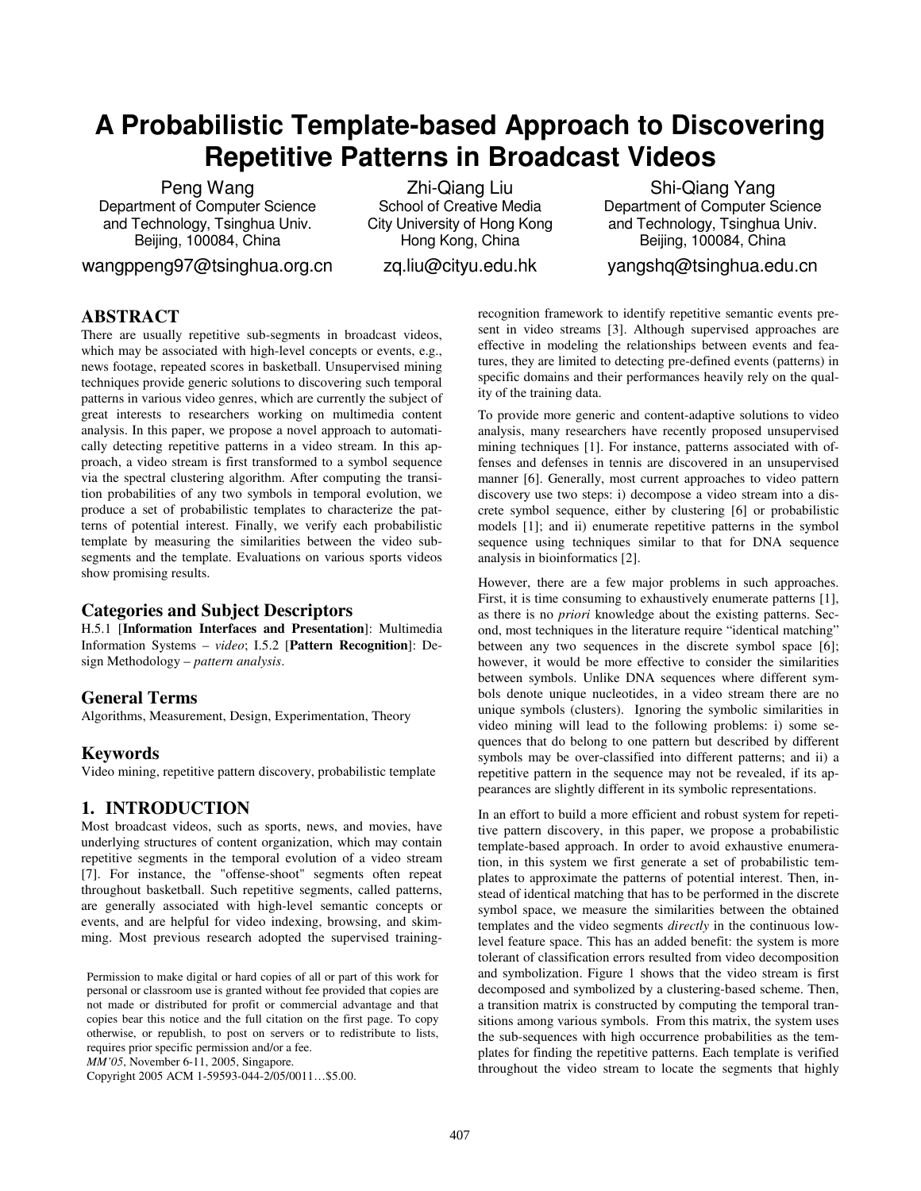# **A Probabilistic Template-based Approach to Discovering Repetitive Patterns in Broadcast Videos**

Peng Wang Department of Computer Science and Technology, Tsinghua Univ. Beijing, 100084, China

wangppeng97@tsinghua.org.cn

Zhi-Qiang Liu School of Creative Media City University of Hong Kong Hong Kong, China

zq.liu@cityu.edu.hk

Shi-Qiang Yang Department of Computer Science and Technology, Tsinghua Univ. Beijing, 100084, China yangshq@tsinghua.edu.cn

# **ABSTRACT**

There are usually repetitive sub-segments in broadcast videos, which may be associated with high-level concepts or events, e.g., news footage, repeated scores in basketball. Unsupervised mining techniques provide generic solutions to discovering such temporal patterns in various video genres, which are currently the subject of great interests to researchers working on multimedia content analysis. In this paper, we propose a novel approach to automatically detecting repetitive patterns in a video stream. In this approach, a video stream is first transformed to a symbol sequence via the spectral clustering algorithm. After computing the transition probabilities of any two symbols in temporal evolution, we produce a set of probabilistic templates to characterize the patterns of potential interest. Finally, we verify each probabilistic template by measuring the similarities between the video subsegments and the template. Evaluations on various sports videos show promising results.

# **Categories and Subject Descriptors**

H.5.1 [**Information Interfaces and Presentation**]: Multimedia Information Systems – *video*; I.5.2 [**Pattern Recognition**]: Design Methodology – *pattern analysis*.

# **General Terms**

Algorithms, Measurement, Design, Experimentation, Theory

# **Keywords**

Video mining, repetitive pattern discovery, probabilistic template

# **1. INTRODUCTION**

Most broadcast videos, such as sports, news, and movies, have underlying structures of content organization, which may contain repetitive segments in the temporal evolution of a video stream [7]. For instance, the "offense-shoot" segments often repeat throughout basketball. Such repetitive segments, called patterns, are generally associated with high-level semantic concepts or events, and are helpful for video indexing, browsing, and skimming. Most previous research adopted the supervised training-

Permission to make digital or hard copies of all or part of this work for personal or classroom use is granted without fee provided that copies are not made or distributed for profit or commercial advantage and that copies bear this notice and the full citation on the first page. To copy otherwise, or republish, to post on servers or to redistribute to lists, requires prior specific permission and/or a fee.

*MM'05*, November 6-11, 2005, Singapore.

Copyright 2005 ACM 1-59593-044-2/05/0011…\$5.00.

recognition framework to identify repetitive semantic events present in video streams [3]. Although supervised approaches are effective in modeling the relationships between events and features, they are limited to detecting pre-defined events (patterns) in specific domains and their performances heavily rely on the quality of the training data.

To provide more generic and content-adaptive solutions to video analysis, many researchers have recently proposed unsupervised mining techniques [1]. For instance, patterns associated with offenses and defenses in tennis are discovered in an unsupervised manner [6]. Generally, most current approaches to video pattern discovery use two steps: i) decompose a video stream into a discrete symbol sequence, either by clustering [6] or probabilistic models [1]; and ii) enumerate repetitive patterns in the symbol sequence using techniques similar to that for DNA sequence analysis in bioinformatics [2].

However, there are a few major problems in such approaches. First, it is time consuming to exhaustively enumerate patterns [1], as there is no *priori* knowledge about the existing patterns. Second, most techniques in the literature require "identical matching" between any two sequences in the discrete symbol space [6]; however, it would be more effective to consider the similarities between symbols. Unlike DNA sequences where different symbols denote unique nucleotides, in a video stream there are no unique symbols (clusters). Ignoring the symbolic similarities in video mining will lead to the following problems: i) some sequences that do belong to one pattern but described by different symbols may be over-classified into different patterns; and ii) a repetitive pattern in the sequence may not be revealed, if its appearances are slightly different in its symbolic representations.

In an effort to build a more efficient and robust system for repetitive pattern discovery, in this paper, we propose a probabilistic template-based approach. In order to avoid exhaustive enumeration, in this system we first generate a set of probabilistic templates to approximate the patterns of potential interest. Then, instead of identical matching that has to be performed in the discrete symbol space, we measure the similarities between the obtained templates and the video segments *directly* in the continuous lowlevel feature space. This has an added benefit: the system is more tolerant of classification errors resulted from video decomposition and symbolization. Figure 1 shows that the video stream is first decomposed and symbolized by a clustering-based scheme. Then, a transition matrix is constructed by computing the temporal transitions among various symbols. From this matrix, the system uses the sub-sequences with high occurrence probabilities as the templates for finding the repetitive patterns. Each template is verified throughout the video stream to locate the segments that highly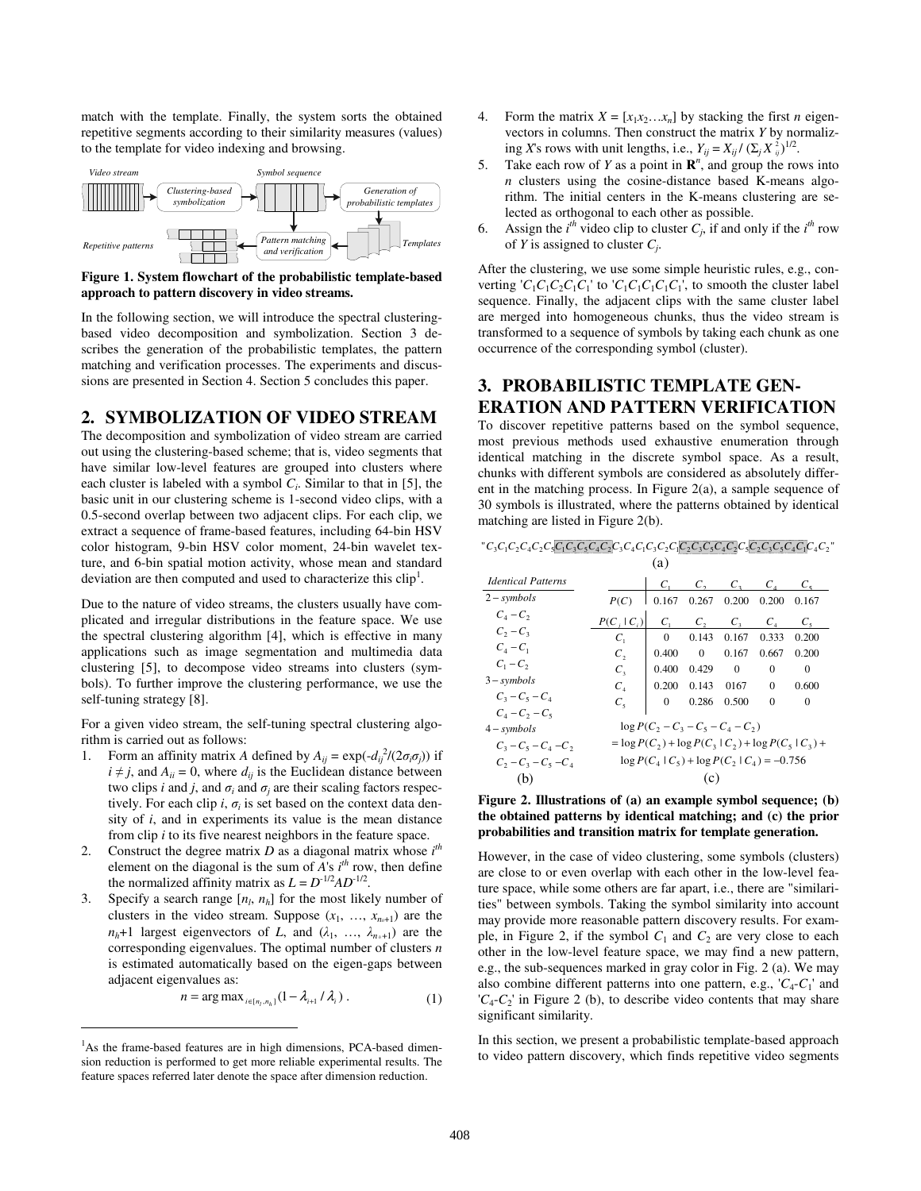match with the template. Finally, the system sorts the obtained repetitive segments according to their similarity measures (values) to the template for video indexing and browsing.



**Figure 1. System flowchart of the probabilistic template-based approach to pattern discovery in video streams.** 

In the following section, we will introduce the spectral clusteringbased video decomposition and symbolization. Section 3 describes the generation of the probabilistic templates, the pattern matching and verification processes. The experiments and discussions are presented in Section 4. Section 5 concludes this paper.

# **2. SYMBOLIZATION OF VIDEO STREAM**

The decomposition and symbolization of video stream are carried out using the clustering-based scheme; that is, video segments that have similar low-level features are grouped into clusters where each cluster is labeled with a symbol *C<sup>i</sup>* . Similar to that in [5], the basic unit in our clustering scheme is 1-second video clips, with a 0.5-second overlap between two adjacent clips. For each clip, we extract a sequence of frame-based features, including 64-bin HSV color histogram, 9-bin HSV color moment, 24-bin wavelet texture, and 6-bin spatial motion activity, whose mean and standard deviation are then computed and used to characterize this  $\text{clip}^1$ .

Due to the nature of video streams, the clusters usually have complicated and irregular distributions in the feature space. We use the spectral clustering algorithm [4], which is effective in many applications such as image segmentation and multimedia data clustering [5], to decompose video streams into clusters (symbols). To further improve the clustering performance, we use the self-tuning strategy [8].

For a given video stream, the self-tuning spectral clustering algorithm is carried out as follows:

- 1. Form an affinity matrix *A* defined by  $A_{ij} = \exp(-d_{ij}^{2}/(2\sigma_{i}\sigma_{j}))$  if  $i \neq j$ , and  $A_{ii} = 0$ , where  $d_{ij}$  is the Euclidean distance between two clips *i* and *j*, and  $\sigma_i$  and  $\sigma_j$  are their scaling factors respectively. For each clip  $i$ ,  $\sigma_i$  is set based on the context data density of *i*, and in experiments its value is the mean distance from clip *i* to its five nearest neighbors in the feature space.
- 2. Construct the degree matrix  $D$  as a diagonal matrix whose  $i^{th}$ element on the diagonal is the sum of  $A$ 's  $i<sup>th</sup>$  row, then define the normalized affinity matrix as  $L = D^{-1/2}AD^{-1/2}$ .
- 3. Specify a search range  $[n_l, n_h]$  for the most likely number of clusters in the video stream. Suppose  $(x_1, \ldots, x_{n+1})$  are the  $n_h+1$  largest eigenvectors of *L*, and  $(\lambda_1, \ldots, \lambda_{n_h+1})$  are the corresponding eigenvalues. The optimal number of clusters *n* is estimated automatically based on the eigen-gaps between adjacent eigenvalues as:

$$
n = \arg \max_{i \in [n_l, n_h]} (1 - \lambda_{i+1} / \lambda_i) \tag{1}
$$

1

- 4. Form the matrix  $X = [x_1 x_2 ... x_n]$  by stacking the first *n* eigenvectors in columns. Then construct the matrix *Y* by normalizing *X*'s rows with unit lengths, i.e.,  $Y_{ij} = X_{ij} / (\Sigma_j X_{ij}^2)^{1/2}$ .
- 5. Take each row of *Y* as a point in  $\mathbb{R}^n$ , and group the rows into *n* clusters using the cosine-distance based K-means algorithm. The initial centers in the K-means clustering are selected as orthogonal to each other as possible.
- 6. Assign the  $i^{th}$  video clip to cluster  $C_j$ , if and only if the  $i^{th}$  row of *Y* is assigned to cluster *C<sup>j</sup>* .

After the clustering, we use some simple heuristic rules, e.g., converting ' $C_1C_1C_2C_1C_1$ ' to ' $C_1C_1C_1C_1C_1$ ', to smooth the cluster label sequence. Finally, the adjacent clips with the same cluster label are merged into homogeneous chunks, thus the video stream is transformed to a sequence of symbols by taking each chunk as one occurrence of the corresponding symbol (cluster).

# **3. PROBABILISTIC TEMPLATE GEN-ERATION AND PATTERN VERIFICATION**

To discover repetitive patterns based on the symbol sequence, most previous methods used exhaustive enumeration through identical matching in the discrete symbol space. As a result, chunks with different symbols are considered as absolutely different in the matching process. In Figure 2(a), a sample sequence of 30 symbols is illustrated, where the patterns obtained by identical matching are listed in Figure 2(b).

| $C_1C_2C_3C_4C_2C_5C_1C_3C_5C_4C_2C_3C_4C_1C_3C_2C_1C_2C_3C_4C_2C_3C_5C_4C_1C_4C_1C_4C_2$ |                                                              |          |              |             |          |             |  |
|-------------------------------------------------------------------------------------------|--------------------------------------------------------------|----------|--------------|-------------|----------|-------------|--|
|                                                                                           |                                                              | (a)      |              |             |          |             |  |
| <b>Identical Patterns</b>                                                                 |                                                              | C,       | $C_{\gamma}$ | $C_{3}$     |          |             |  |
| $2$ – symbols                                                                             | P(C)                                                         | 0.167    | 0.267        | 0.200       | 0.200    | 0.167       |  |
| $C_4 - C_2$                                                                               | $P(C,  C_i)$                                                 | C.       | $C_{\gamma}$ | $C_{\rm a}$ | C.       | $C_{\rm s}$ |  |
| $C_2 - C_3$                                                                               | $C_{1}$                                                      | $\Omega$ | 0.143        | 0.167       | 0.333    | 0.200       |  |
| $C_4 - C_1$                                                                               | C,                                                           | 0.400    | $\Omega$     | 0.167       | 0.667    | 0.200       |  |
| $C_1 - C_2$                                                                               | $C_{\rm z}$                                                  | 0.400    | 0.429        | $\Omega$    | $\Omega$ | $\Omega$    |  |
| $3$ – symbols                                                                             | $C_{A}$                                                      | 0.200    | 0.143        | 0167        | $\Omega$ | 0.600       |  |
| $C_3 - C_5 - C_4$                                                                         | $C_{\rm s}$                                                  | $\Omega$ | 0.286        | 0.500       | $\Omega$ | $\Omega$    |  |
| $C_4 - C_2 - C_5$                                                                         |                                                              |          |              |             |          |             |  |
| $4$ – symbols                                                                             | $\log P(C_2 - C_3 - C_5 - C_4 - C_2)$                        |          |              |             |          |             |  |
| $C_3 - C_5 - C_4 - C_2$                                                                   | $=$ log $P(C_2)$ + log $P(C_3   C_2)$ + log $P(C_5   C_3)$ + |          |              |             |          |             |  |
| $C_2 - C_3 - C_5 - C_4$                                                                   | $\log P(C_4   C_5) + \log P(C_2   C_4) = -0.756$             |          |              |             |          |             |  |
| (b)                                                                                       |                                                              |          |              |             |          |             |  |

**Figure 2. Illustrations of (a) an example symbol sequence; (b) the obtained patterns by identical matching; and (c) the prior probabilities and transition matrix for template generation.** 

However, in the case of video clustering, some symbols (clusters) are close to or even overlap with each other in the low-level feature space, while some others are far apart, i.e., there are "similarities" between symbols. Taking the symbol similarity into account may provide more reasonable pattern discovery results. For example, in Figure 2, if the symbol  $C_1$  and  $C_2$  are very close to each other in the low-level feature space, we may find a new pattern, e.g., the sub-sequences marked in gray color in Fig. 2 (a). We may also combine different patterns into one pattern, e.g.,  $'C_4$ - $C_1'$  and  ${}^{\prime}C_{4}$ - $C_{2}$ <sup>'</sup> in Figure 2 (b), to describe video contents that may share significant similarity.

In this section, we present a probabilistic template-based approach to video pattern discovery, which finds repetitive video segments

<sup>&</sup>lt;sup>1</sup>As the frame-based features are in high dimensions, PCA-based dimension reduction is performed to get more reliable experimental results. The feature spaces referred later denote the space after dimension reduction.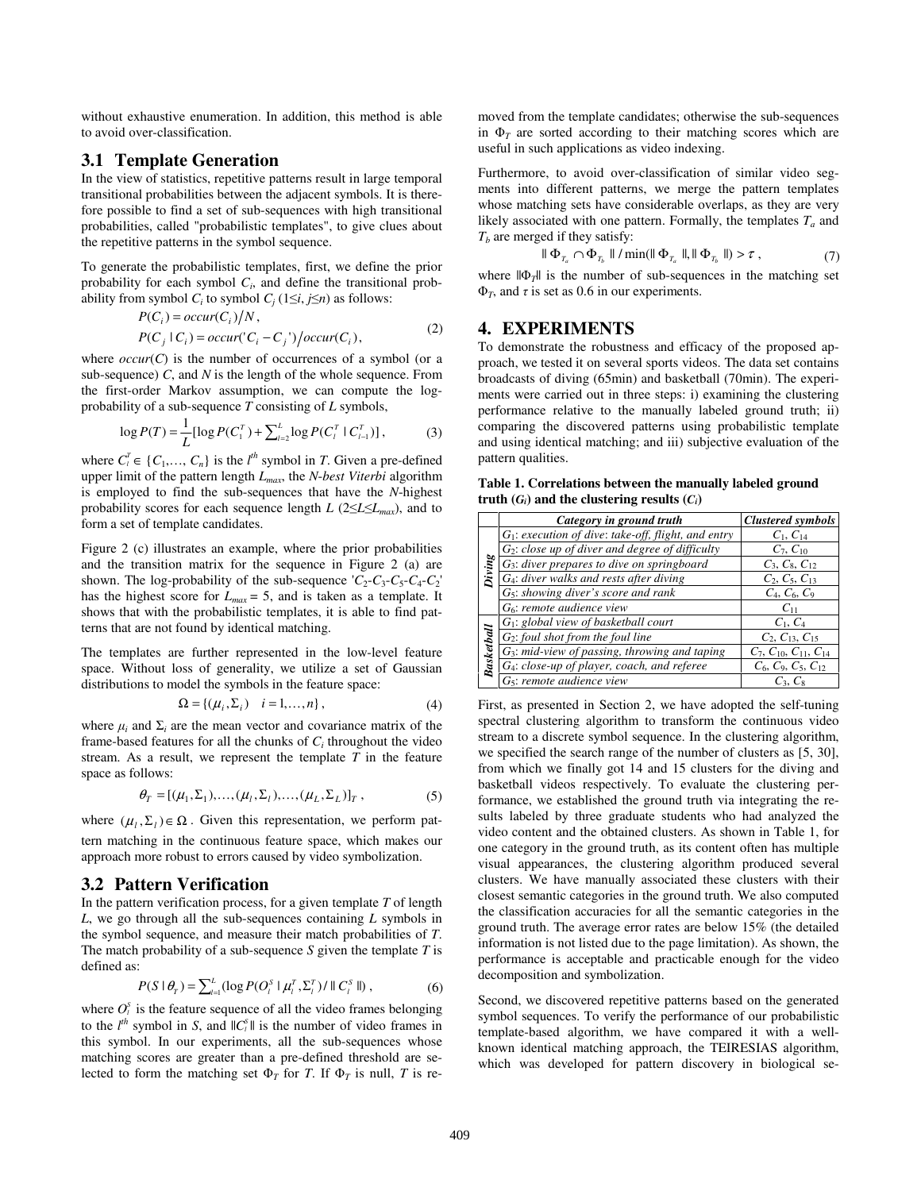without exhaustive enumeration. In addition, this method is able to avoid over-classification.

#### **3.1 Template Generation**

In the view of statistics, repetitive patterns result in large temporal transitional probabilities between the adjacent symbols. It is therefore possible to find a set of sub-sequences with high transitional probabilities, called "probabilistic templates", to give clues about the repetitive patterns in the symbol sequence.

To generate the probabilistic templates, first, we define the prior probability for each symbol  $C_i$ , and define the transitional probability from symbol  $C_i$  to symbol  $C_j$  (1≤*i*, *j*≤*n*) as follows:

$$
P(Ci) = occur(Ci)/N,P(Cj | Ci) = occur('Ci - Cj')/occur(Ci),
$$
\n(2)

where  $occur(C)$  is the number of occurrences of a symbol (or a sub-sequence) *C*, and *N* is the length of the whole sequence. From the first-order Markov assumption, we can compute the logprobability of a sub-sequence *T* consisting of *L* symbols,

$$
\log P(T) = \frac{1}{L} [\log P(C_1^T) + \sum_{l=2}^{L} \log P(C_l^T \mid C_{l-1}^T)], \tag{3}
$$

where  $C_l^T \in \{C_1, \ldots, C_n\}$  is the  $l^{th}$  symbol in *T*. Given a pre-defined upper limit of the pattern length *Lmax*, the *N*-*best Viterbi* algorithm is employed to find the sub-sequences that have the *N*-highest probability scores for each sequence length  $L$  (2≤*L*≤ $L$ <sub>*max*</sub>), and to form a set of template candidates.

Figure 2 (c) illustrates an example, where the prior probabilities and the transition matrix for the sequence in Figure 2 (a) are shown. The log-probability of the sub-sequence  $'C_2 - C_3 - C_5 - C_4 - C_2$ has the highest score for  $L_{max} = 5$ , and is taken as a template. It shows that with the probabilistic templates, it is able to find patterns that are not found by identical matching.

The templates are further represented in the low-level feature space. Without loss of generality, we utilize a set of Gaussian distributions to model the symbols in the feature space:

$$
\Omega = \{ (\mu_i, \Sigma_i) \quad i = 1, \dots, n \},\tag{4}
$$

where  $\mu_i$  and  $\Sigma_i$  are the mean vector and covariance matrix of the frame-based features for all the chunks of  $C_i$  throughout the video stream. As a result, we represent the template *T* in the feature space as follows:

$$
\theta_T = [(\mu_1, \Sigma_1), ..., (\mu_l, \Sigma_l), ..., (\mu_L, \Sigma_L)]_T, \qquad (5)
$$

where  $(\mu_l, \Sigma_l) \in \Omega$ . Given this representation, we perform pattern matching in the continuous feature space, which makes our approach more robust to errors caused by video symbolization.

## **3.2 Pattern Verification**

In the pattern verification process, for a given template *T* of length *L*, we go through all the sub-sequences containing *L* symbols in the symbol sequence, and measure their match probabilities of *T*. The match probability of a sub-sequence *S* given the template *T* is defined as:

$$
P(S | \theta_{T}) = \sum_{l=1}^{L} (\log P(O_{l}^{S} | \mu_{l}^{T}, \Sigma_{l}^{T}) / || C_{l}^{S} ||), \qquad (6)
$$

where  $O_i^s$  is the feature sequence of all the video frames belonging to the  $l^{th}$  symbol in *S*, and  $\|C_l^s\|$  is the number of video frames in this symbol. In our experiments, all the sub-sequences whose matching scores are greater than a pre-defined threshold are selected to form the matching set  $\Phi_T$  for *T*. If  $\Phi_T$  is null, *T* is removed from the template candidates; otherwise the sub-sequences in  $\Phi_T$  are sorted according to their matching scores which are useful in such applications as video indexing.

Furthermore, to avoid over-classification of similar video segments into different patterns, we merge the pattern templates whose matching sets have considerable overlaps, as they are very likely associated with one pattern. Formally, the templates  $T_a$  and *Tb* are merged if they satisfy:

$$
\|\Phi_{T_a} \cap \Phi_{T_b}\| / \min(\|\Phi_{T_a}\|, \|\Phi_{T_b}\|) > \tau ,\tag{7}
$$

where  $||\Phi_{\tau}||$  is the number of sub-sequences in the matching set  $\Phi_T$ , and  $\tau$  is set as 0.6 in our experiments.

## **4. EXPERIMENTS**

To demonstrate the robustness and efficacy of the proposed approach, we tested it on several sports videos. The data set contains broadcasts of diving (65min) and basketball (70min). The experiments were carried out in three steps: i) examining the clustering performance relative to the manually labeled ground truth; ii) comparing the discovered patterns using probabilistic template and using identical matching; and iii) subjective evaluation of the pattern qualities.

**Table 1. Correlations between the manually labeled ground truth**  $(G_i)$  and the clustering results  $(C_i)$ 

|                   | Category in ground truth                               | <b>Clustered symbols</b>         |
|-------------------|--------------------------------------------------------|----------------------------------|
| Diving            | $G_1$ : execution of dive: take-off, flight, and entry | $C_1, C_{14}$                    |
|                   | $G_2$ : close up of diver and degree of difficulty     | $C_7, C_{10}$                    |
|                   | $G3$ : diver prepares to dive on springboard           | $C_3, C_8, C_{12}$               |
|                   | G <sub>4</sub> : diver walks and rests after diving    | $C_2, C_5, C_{13}$               |
|                   | G <sub>5</sub> : showing diver's score and rank        | $C_4, C_6, C_9$                  |
|                   | $G6$ : remote audience view                            | $C_{11}$                         |
| <b>Basketball</b> | $G_1$ : global view of basketball court                | $C_1, C_4$                       |
|                   | $G_2$ : foul shot from the foul line                   | $C_2, C_{13}, C_{15}$            |
|                   | $G_3$ : mid-view of passing, throwing and taping       | $C_7, C_{10}, C_{11}, C_{14}$    |
|                   | $G_4$ : close-up of player, coach, and referee         | $C_6$ , $C_9$ , $C_5$ , $C_{12}$ |
|                   | $G5:$ remote audience view                             | $C_3$ , $C_8$                    |

First, as presented in Section 2, we have adopted the self-tuning spectral clustering algorithm to transform the continuous video stream to a discrete symbol sequence. In the clustering algorithm, we specified the search range of the number of clusters as [5, 30], from which we finally got 14 and 15 clusters for the diving and basketball videos respectively. To evaluate the clustering performance, we established the ground truth via integrating the results labeled by three graduate students who had analyzed the video content and the obtained clusters. As shown in Table 1, for one category in the ground truth, as its content often has multiple visual appearances, the clustering algorithm produced several clusters. We have manually associated these clusters with their closest semantic categories in the ground truth. We also computed the classification accuracies for all the semantic categories in the ground truth. The average error rates are below 15% (the detailed information is not listed due to the page limitation). As shown, the performance is acceptable and practicable enough for the video decomposition and symbolization.

Second, we discovered repetitive patterns based on the generated symbol sequences. To verify the performance of our probabilistic template-based algorithm, we have compared it with a wellknown identical matching approach, the TEIRESIAS algorithm, which was developed for pattern discovery in biological se